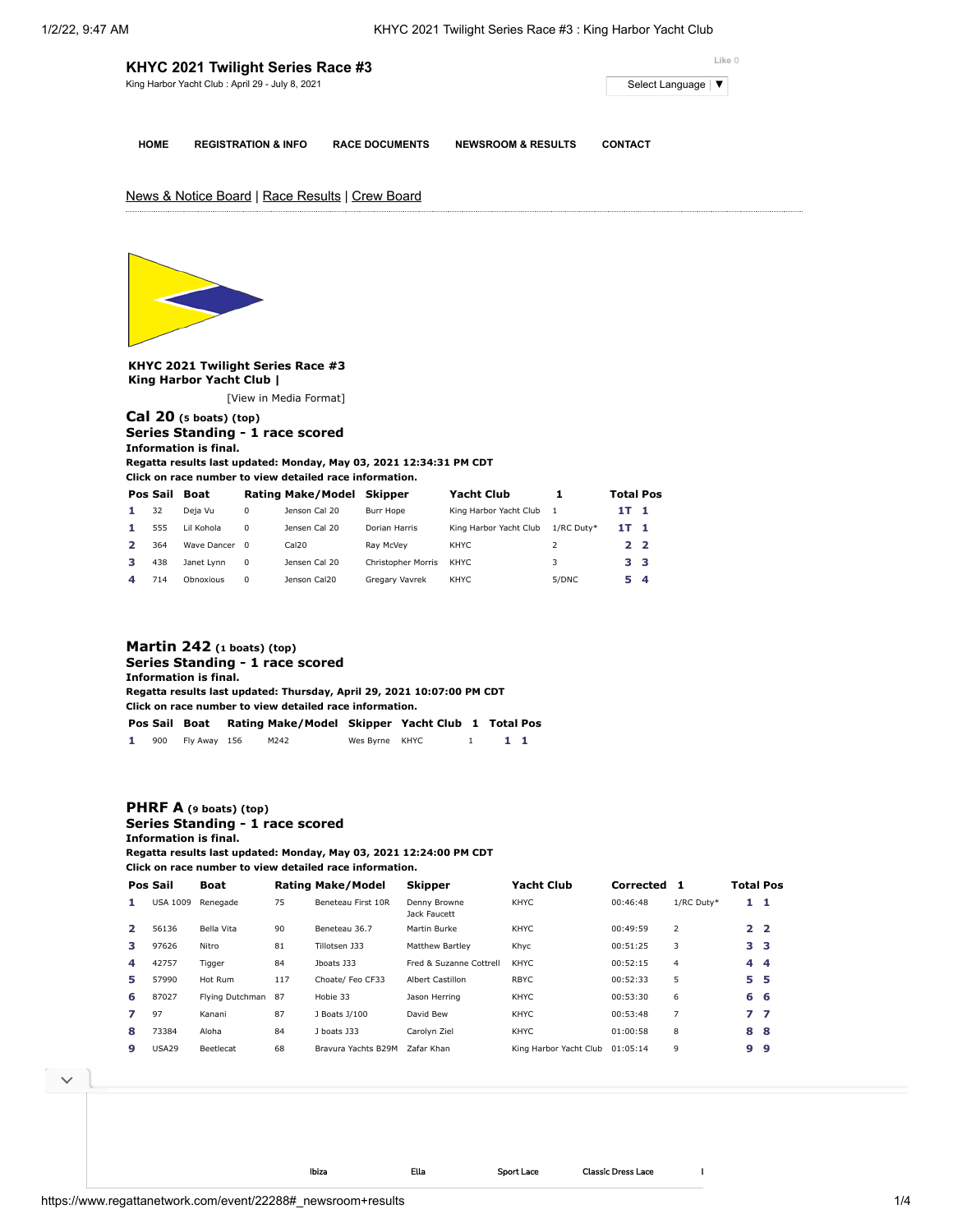|             | KHYC 2021 Twilight Series Race #3               | Like 0                |                               |                     |  |  |
|-------------|-------------------------------------------------|-----------------------|-------------------------------|---------------------|--|--|
|             | King Harbor Yacht Club: April 29 - July 8, 2021 |                       |                               | Select Language   ▼ |  |  |
|             |                                                 |                       |                               |                     |  |  |
| <b>HOME</b> | <b>REGISTRATION &amp; INFO</b>                  | <b>RACE DOCUMENTS</b> | <b>NEWSROOM &amp; RESULTS</b> | <b>CONTACT</b>      |  |  |

News & Notice Board | Race Results | Crew Board



**KHYC 2021 Twilight Series Race #3 King Harbor Yacht Club |**

[\[View in Media Format](https://www.regattanetwork.com/clubmgmt/applet_regatta_results.php?regatta_id=22288&show_manufacturer=1&show_crew=1&media_format=1)]

# **[Cal 20](https://www.regattanetwork.com/clubmgmt/applet_regatta_results.php?regatta_id=22288&show_manufacturer=1&show_crew=1&limit_fleet=Cal+20) (5 boats) (top) Series Standing - 1 race scored Information is final.**

**Regatta results last updated: Monday, May 03, 2021 12:34:31 PM CDT Click on race number to view detailed race information.**

|   | Pos Sail | Boat          |          | <b>Rating Make/Model</b> | Skipper                   | <b>Yacht Club</b>      |            | <b>Total Pos</b> |     |
|---|----------|---------------|----------|--------------------------|---------------------------|------------------------|------------|------------------|-----|
|   | 32       | Deja Vu       | 0        | Jenson Cal 20            | Burr Hope                 | King Harbor Yacht Club |            | 1T 1             |     |
|   | 555      | Lil Kohola    | $\Omega$ | Jensen Cal 20            | Dorian Harris             | King Harbor Yacht Club | 1/RC Duty* | 1T.              | - 1 |
|   | 364      | Wave Dancer 0 |          | Cal20                    | Rav McVev                 | KHYC                   |            | 22               |     |
|   | 438      | Janet Lynn    | $\Omega$ | Jensen Cal 20            | <b>Christopher Morris</b> | KHYC.                  | 3          | 3 <sub>3</sub>   |     |
| Δ | 714      | Obnoxious     | $\Omega$ | Jenson Cal20             | Gregary Vavrek            | KHYC                   | 5/DNC      | 5.               | -4  |

## **[Martin 242](https://www.regattanetwork.com/clubmgmt/applet_regatta_results.php?regatta_id=22288&show_manufacturer=1&show_crew=1&limit_fleet=Martin+242) (1 boats) (top) Series Standing - 1 race scored Information is final. Regatta results last updated: Thursday, April 29, 2021 10:07:00 PM CDT Click on race number to view detailed race information. Pos Sail Boat Rating Make/Model Skipper Yacht Club [1](https://www.regattanetwork.com/clubmgmt/applet_race_scores.php?regatta_id=22288&race_num=1&fleet=Martin+242&show_crew=1) Total Pos 1** 900 Fly Away 156 M242 Wes Byrne KHYC 1 **1 1**

## **[PHRF A](https://www.regattanetwork.com/clubmgmt/applet_regatta_results.php?regatta_id=22288&show_manufacturer=1&show_crew=1&limit_fleet=PHRF+A) (9 boats) (top) Series Standing - 1 race scored Information is final.**

**Regatta results last updated: Monday, May 03, 2021 12:24:00 PM CDT Click on race number to view detailed race information.**

|                | Pos Sail        | Boat            |     | <b>Rating Make/Model</b> | <b>Skipper</b>               | <b>Yacht Club</b>      | Corrected |                | <b>Total Pos</b> |                    |
|----------------|-----------------|-----------------|-----|--------------------------|------------------------------|------------------------|-----------|----------------|------------------|--------------------|
|                | <b>USA 1009</b> | Renegade        | 75  | Beneteau First 10R       | Denny Browne<br>Jack Faucett | KHYC                   | 00:46:48  | 1/RC Duty*     | $1\quad1$        |                    |
| $\overline{2}$ | 56136           | Bella Vita      | 90  | Beneteau 36.7            | Martin Burke                 | KHYC                   | 00:49:59  | $\overline{2}$ | 2 <sub>2</sub>   |                    |
| з.             | 97626           | Nitro           | 81  | Tillotsen J33            | <b>Matthew Bartley</b>       | Khyc                   | 00:51:25  | 3              | 3 <sub>3</sub>   |                    |
| 4              | 42757           | Tigger          | 84  | Iboats 133               | Fred & Suzanne Cottrell      | <b>KHYC</b>            | 00:52:15  | 4              | 4                | $\overline{\bf 4}$ |
| 5.             | 57990           | Hot Rum         | 117 | Choate/ Feo CF33         | Albert Castillon             | <b>RBYC</b>            | 00:52:33  | 5              | 5.               | 5                  |
| 6              | 87027           | Flying Dutchman | 87  | Hobie 33                 | Jason Herring                | KHYC                   | 00:53:30  | 6              | 6                | - 6                |
|                | 97              | Kanani          | 87  | J Boats J/100            | David Bew                    | <b>KHYC</b>            | 00:53:48  | 7              | 77               |                    |
| 8              | 73384           | Aloha           | 84  | J boats J33              | Carolyn Ziel                 | <b>KHYC</b>            | 01:00:58  | 8              | 8                | -8                 |
| 9              | <b>USA29</b>    | Beetlecat       | 68  | Brayura Yachts B29M      | Zafar Khan                   | King Harbor Yacht Club | 01:05:14  | 9              | 9                | 9                  |

**Click on race number to view detailed race information.**

Ibiza Ella Sport Lace [Classic](https://cat.da.us.criteo.com/m/delivery/ck.php?cppv=3&cpp=e1sCuyKtRr_WsxhOTPBX_NxaKjfIFjSVmP-i2SrPzDRtL6_DdmfKJt8Mmnsb4bTSn1Aa64ut4pPw1TDBPFFlopYT6RZ1iSZvrWe4ARSvvHQQyQX7dTI-FJmzwBwPAqjpMNwkJuSCe1u3-QIbDqttxuu-RZXEl1yeIhpVrAomjZvxsmMAyNqwMYq0dBe6A7OncT82MIDbCVh0tDpaW0XCuydlJNmrPpnPMBDV_Px1clHn3uBG877DC1WCPiPf-Ruai3ze8ANf1ZzClF_F226DMesTQum7BqvCkyRZmUjqazyTLAqGH8jVOQFvCczoz0S2VxzMHulxsErnzMPrgTParqCZgwObjG6krywPyzx1sC_DVFlcJVXpnZyeRaYDbCHYFAq6EZmN3zU6JRCDRBzyreK_O8D7c9WFBe6aUJI0mTPLRl6aZLVFKTzwPhtHRcaC6vjFzl_p1x8d6EbkMkEY4xZRIw5zHWzOf9qkDc2m2Z3YWUR-&maxdest=https%3A%2F%2Fmagnanni.com%2Fclassic-dress-lace%3Futm_source%3Dcriteo%26utm_medium%3Ddisplay%26utm_campaign%3DWeb%2520Traffic%2520-%2520Oct%252021%252C%25202021%2520) Dress Lace [Lizandro](https://cat.da.us.criteo.com/m/delivery/ck.php?cppv=3&cpp=A9hJcSKtRr_WsxhOTPBX_NxaKjfIFjSVmP-i2SrPzDRtL6_DdmfKJt8Mmnsb4bTSn1Aa64ut4pPw1TDBPFFlopYT6RZ1iSZvrWe4ARSvvHQQyQX7dTI-FJmzwBwPAqjpMNwkJuSCe1u3-QIbDqttxuu-RZVo6_3gap1AGRtZmux6cmZtIYs6IG_mUMcO1EOP6oX42S9X2mRN37AbopY0x6mOfpOQ8UHpeMB59H-q1b4rdHhKSJ3cpKQk-RNYL5LNyOlHP3aHaI-GAEjXbCRKos9Q4O_mnK6YLor0asC7AlmtWSzKP4d0ZtG9uscgS7w1JCmURbLRlPN1OxCdQI6kay-Ne7YD7DLkGqZ3qSkXVUrXLctoeVOlpvkOZ-09dYah-uXQIhQVfDseMkEXGl4nQlLXmWPng48ANlu5n0HsR5VE-ueSWPrGPLe6E9dVMWXIgfKHKkhn67VBs-WlKExhvnn_VDWAEpzuijpSZLTYZPk6vKYC&maxdest=https%3A%2F%2Fmagnanni.com%2Flizandro%3Futm_source%3Dcriteo%26utm_medium%3Ddisplay%26utm_campaign%3DWeb%2520Traffic%2520-%2520Oct%252021%252C%25202021%2520) [Coco](https://cat.da.us.criteo.com/m/delivery/ck.php?cppv=3&cpp=LPUmtCKtRr_WsxhOTPBX_NxaKjfIFjSVmP-i2SrPzDRtL6_DdmfKJt8Mmnsb4bTSn1Aa64ut4pPw1TDBPFFlopYT6RZ1iSZvrWe4ARSvvHQQyQX7dTI-FJmzwBwPAqjpMNwkJuSCe1u3-QIbDqttxuu-RZU6pJX4nsVihAb5Ym5oMgYT0IwjsFydrwXkQsYuNYnXzl729-JAvhiM4uIDVMYaXvL6MhJuXb-QMvSukZr40UuIivBlY2pCnfSKN3F1rQCjJPDtAtE1lrvjysY-Cir_gcmKmIAe4aJ_QE8ewFe72YJuefQWJWolKbsJXjIYpvZ3hrJatpgkn0U196_Gr4T_QTAd7yRWP04d0BwJMy2ArynuFC7uEejzCvvlMPe5Ar4TfHPBy5uJYS8AvOm9-z2MTtfK6jF3xDMOn7z3EX908veoOJ6oIP5LWiTMS5VpQz7vRGzEzL4JKgJOSflTuRSIlY-qIAOjopSgqOcrSQ0NFTQd&maxdest=https%3A%2F%2Fmagnanni.com%2Fcoco%3Futm_source%3Dcriteo%26utm_medium%3Ddisplay%26utm_campaign%3DWeb%2520Traffic%2520-%2520Oct%252021%252C%25202021%2520)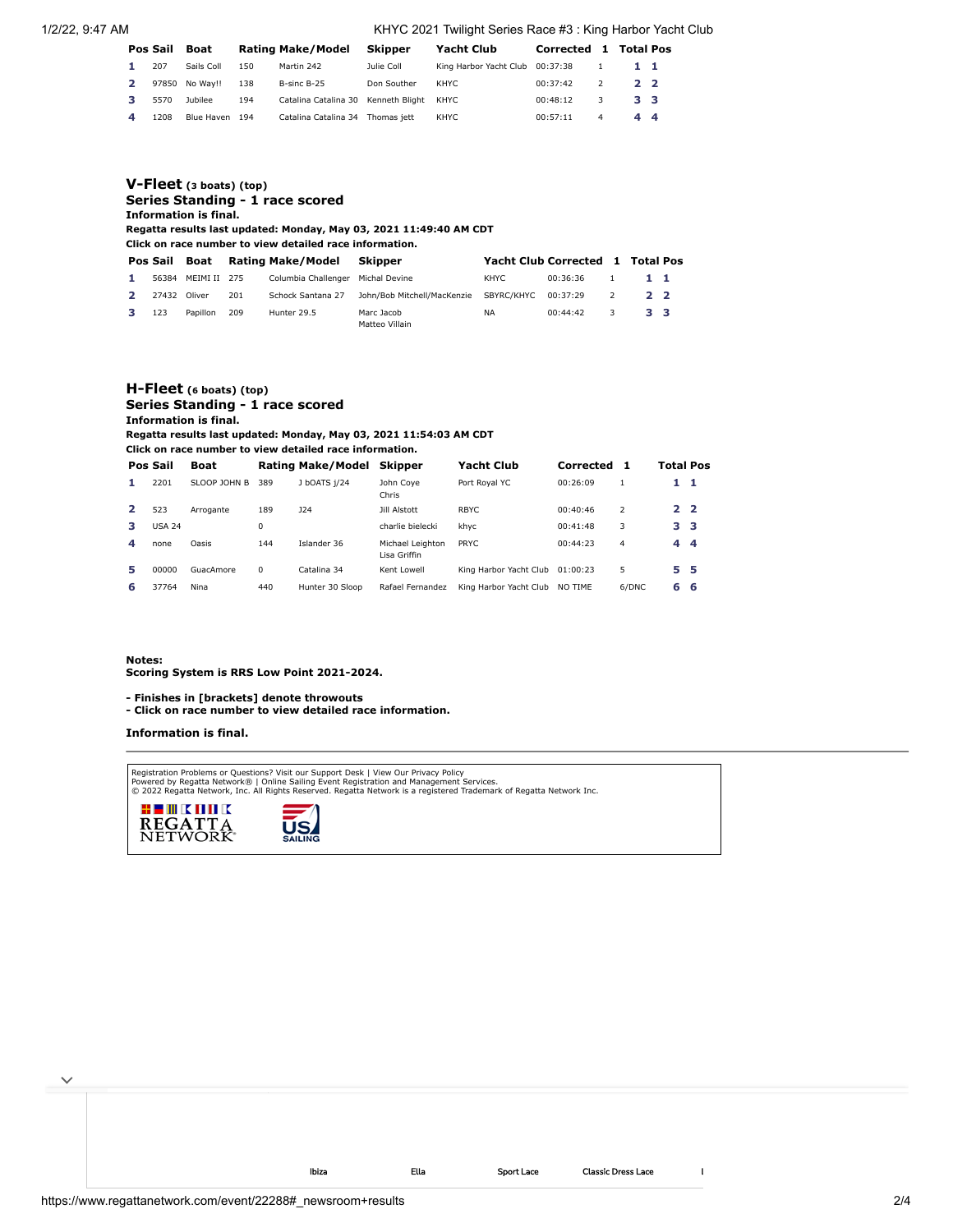1/2/22, 9:47 AM KHYC 2021 Twilight Series Race #3 : King Harbor Yacht Club

|   | Pos Sail | Boat           |     | Rating Make/Model                        | Skipper     | <b>Yacht Club</b>               | Corrected | $\mathbf{1}$ | <b>Total Pos</b> |  |
|---|----------|----------------|-----|------------------------------------------|-------------|---------------------------------|-----------|--------------|------------------|--|
|   | 207      | Sails Coll     | 150 | Martin 242                               | Julie Coll  | King Harbor Yacht Club 00:37:38 |           |              | 11               |  |
|   | 97850    | No Wav!!       | 138 | B-sinc B-25                              | Don Souther | KHYC                            | 00:37:42  |              | $2^{\circ}$      |  |
| з | 5570     | <b>Jubilee</b> | 194 | Catalina Catalina 30 Kenneth Blight KHYC |             |                                 | 00:48:12  | 3            | 3 <sub>3</sub>   |  |
| 4 | 1208     | Blue Haven     | 194 | Catalina Catalina 34                     | Thomas iett | KHYC                            | 00:57:11  | 4            | 44               |  |

| $V$ -Fleet (3 boats) (top)<br>Series Standing - 1 race scored<br><b>Information is final.</b><br>Regatta results last updated: Monday, May 03, 2021 11:49:40 AM CDT<br>Click on race number to view detailed race information. |          |          |      |                          |                              |                                  |          |                          |                |  |  |
|--------------------------------------------------------------------------------------------------------------------------------------------------------------------------------------------------------------------------------|----------|----------|------|--------------------------|------------------------------|----------------------------------|----------|--------------------------|----------------|--|--|
|                                                                                                                                                                                                                                | Pos Sail | Boat     |      | <b>Rating Make/Model</b> | <b>Skipper</b>               | Yacht Club Corrected 1 Total Pos |          |                          |                |  |  |
|                                                                                                                                                                                                                                | 56384    | MEIMI II | -275 | Columbia Challenger      | Michal Devine                | KHYC.                            | 00:36:36 |                          | $1 \quad 1$    |  |  |
|                                                                                                                                                                                                                                | 27432    | Oliver   | 201  | Schock Santana 27        | John/Bob Mitchell/MacKenzie  | SBYRC/KHYC                       | 00:37:29 | $\overline{\phantom{a}}$ | $2^{\circ}$    |  |  |
|                                                                                                                                                                                                                                | 123      | Papillon | 209  | Hunter 29.5              | Marc Jacob<br>Matteo Villain | <b>NA</b>                        | 00:44:42 | 3                        | 3 <sub>3</sub> |  |  |

### **[H-Fleet](https://www.regattanetwork.com/clubmgmt/applet_regatta_results.php?regatta_id=22288&show_manufacturer=1&show_crew=1&limit_fleet=H-Fleet) (6 boats) (top) Series Standing - 1 race scored Information is final. Regatta results last updated: Monday, May 03, 2021 11:54:03 AM CDT**

**Click on race number to view detailed race information.**

|    | Pos Sail      | Boat         |     | <b>Rating Make/Model</b> | Skipper                          | Yacht Club                      | Corrected | 1             | Total Pos       |  |
|----|---------------|--------------|-----|--------------------------|----------------------------------|---------------------------------|-----------|---------------|-----------------|--|
| ъ. | 2201          | SLOOP JOHN B | 389 | J bOATS 1/24             | John Cove<br>Chris               | Port Royal YC                   | 00:26:09  |               | $1\quad1$       |  |
|    | 523           | Arrogante    | 189 | 124                      | Jill Alstott                     | RBYC.                           | 00:40:46  | $\mathcal{P}$ | 2 <sub>2</sub>  |  |
| з  | <b>USA 24</b> |              | 0   |                          | charlie bielecki                 | khyc                            | 00:41:48  | 3             | 33              |  |
| 4  | none          | Oasis        | 144 | Islander 36              | Michael Leighton<br>Lisa Griffin | <b>PRYC</b>                     | 00:44:23  | 4             | $4\overline{4}$ |  |
| 5  | 00000         | GuacAmore    | 0   | Catalina 34              | Kent Lowell                      | King Harbor Yacht Club 01:00:23 |           | 5             | 5 5             |  |
| 6  | 37764         | Nina         | 440 | Hunter 30 Sloop          | Rafael Fernandez                 | King Harbor Yacht Club          | NO TIME   | 6/DNC         | 6 6             |  |

[Ibiza](https://cat.da.us.criteo.com/m/delivery/ck.php?cppv=3&cpp=gmQB-SKtRr_WsxhOTPBX_NxaKjfIFjSVmP-i2SrPzDRtL6_DdmfKJt8Mmnsb4bTSn1Aa64ut4pPw1TDBPFFlopYT6RZ1iSZvrWe4ARSvvHQQyQX7dTI-FJmzwBwPAqjpMNwkJuSCe1u3-QIbDqttxuu-RZVM_fZyJVXx-jZYEMh62icTLRoVJKt0xuwPkmwOQMfBrJk3-SoKG6HcIBGw7_MEixDMeA0iycXIxk6Is0bJDu-wTIrCw0v_Dqz4R3MuyUZklUYjp4ASOHVvZgTt7QGDrRcoFTPTDj8FsTBCGj3HsqIFb8jB1f0g6dTOCFPFA3qyzvQTp8Vk5we9YrGlJqraVDJSFJVpqWVM4Sie5w1Kte03cLoLgBsPuyHbaIogWcRuszkqvbjJ5-2Dz6cdRZmx8W3lskTFXyuRXZ_MZ1oL74zal89EMzAZpiD33xHsv2OT3MSl0Bgtnrst2n68RgVkOURUjc8TcA16H0KgtE7Q-K5L&maxdest=https%3A%2F%2Fmagnanni.com%2Fibiza%3Futm_source%3Dcriteo%26utm_medium%3Ddisplay%26utm_campaign%3DWeb%2520Traffic%2520-%2520Oct%252021%252C%25202021%2520) [Ella](https://cat.da.us.criteo.com/m/delivery/ck.php?cppv=3&cpp=NrWN1CKtRr_WsxhOTPBX_NxaKjfIFjSVmP-i2SrPzDRtL6_DdmfKJt8Mmnsb4bTSn1Aa64ut4pPw1TDBPFFlopYT6RZ1iSZvrWe4ARSvvHQQyQX7dTI-FJmzwBwPAqjpMNwkJuSCe1u3-QIbDqttxuu-RZXXT3Hbwgb-jfuQBVQCIoD1kvdOpBW8bfM7eQ5xCPwhrTB2GGh3dP5qqx8SJUc4zF14SpHQeBsLf5Gu6l3ZdgmgowZIq41VRs7Ksj_YoPQdzLFyD32f95sDnjrXVnyGCIEUzt_qRqrS44k30J_dJYaTDQUuJLEurEvn5UqoFm1T3Dd-gQSJYkVAnvnzHPiAqBe9OvT7WBgwNtw1fEkV7nUcdtEHfxUKjsiYc8-WyaDo5ZSfje9W9qgHC_cJOTo1fC4EWpPBfEnhO7tVGH0Ffk_i2PJFwtOIGRTvQtFhq-3YKgTni0ZVPwUmCOuBLalo_sGe2gbd3guQTchvGwDrNikG&maxdest=https%3A%2F%2Fmagnanni.com%2Fella%3Futm_source%3Dcriteo%26utm_medium%3Ddisplay%26utm_campaign%3DWeb%2520Traffic%2520-%2520Oct%252021%252C%25202021%2520) [Sport](https://cat.da.us.criteo.com/m/delivery/ck.php?cppv=3&cpp=Z--w_SKtRr_WsxhOTPBX_NxaKjfIFjSVmP-i2SrPzDRtL6_DdmfKJt8Mmnsb4bTSn1Aa64ut4pPw1TDBPFFlopYT6RZ1iSZvrWe4ARSvvHQQyQX7dTI-FJmzwBwPAqjpMNwkJuSCe1u3-QIbDqttxuu-RZX2p4vN6g21xTkNea-xy5WIziRWIODCOlwUTiToLj8uINhDbfSIyyukfTzq-LURMCUoR_CPv-R1kAwVWwWKMFN1wE_Ooz9UcugPT2Mshj-yeaNZRsv3o3BtVrA0YGTeq_8GzKoOCrtd_3TsuQHPCHyd-ISkMjOdfLiBeTF6Lzmm_ZuJPZYW2IrPsC69XPDaT3WJ0ev1VnK_ZH-4XQlxb6JlkJsrv2ryqtdntoI9mXWOmkcf8AeXd3aPnoJw0YvbZ9mhsbhDihXPp1dy0B7SizIyJJNmKZUO9eAQXjn4vHoSGAtocqBixii2GaNgTLLqUeFTLAUxq5p9Ilp-zx98H-Ni&maxdest=https%3A%2F%2Fmagnanni.com%2Fsport-lace%3Futm_source%3Dcriteo%26utm_medium%3Ddisplay%26utm_campaign%3DWeb%2520Traffic%2520-%2520Oct%252021%252C%25202021%2520) Lace [Classic](https://cat.da.us.criteo.com/m/delivery/ck.php?cppv=3&cpp=e1sCuyKtRr_WsxhOTPBX_NxaKjfIFjSVmP-i2SrPzDRtL6_DdmfKJt8Mmnsb4bTSn1Aa64ut4pPw1TDBPFFlopYT6RZ1iSZvrWe4ARSvvHQQyQX7dTI-FJmzwBwPAqjpMNwkJuSCe1u3-QIbDqttxuu-RZXEl1yeIhpVrAomjZvxsmMAyNqwMYq0dBe6A7OncT82MIDbCVh0tDpaW0XCuydlJNmrPpnPMBDV_Px1clHn3uBG877DC1WCPiPf-Ruai3ze8ANf1ZzClF_F226DMesTQum7BqvCkyRZmUjqazyTLAqGH8jVOQFvCczoz0S2VxzMHulxsErnzMPrgTParqCZgwObjG6krywPyzx1sC_DVFlcJVXpnZyeRaYDbCHYFAq6EZmN3zU6JRCDRBzyreK_O8D7c9WFBe6aUJI0mTPLRl6aZLVFKTzwPhtHRcaC6vjFzl_p1x8d6EbkMkEY4xZRIw5zHWzOf9qkDc2m2Z3YWUR-&maxdest=https%3A%2F%2Fmagnanni.com%2Fclassic-dress-lace%3Futm_source%3Dcriteo%26utm_medium%3Ddisplay%26utm_campaign%3DWeb%2520Traffic%2520-%2520Oct%252021%252C%25202021%2520) Dress Lace [Lizandro](https://cat.da.us.criteo.com/m/delivery/ck.php?cppv=3&cpp=A9hJcSKtRr_WsxhOTPBX_NxaKjfIFjSVmP-i2SrPzDRtL6_DdmfKJt8Mmnsb4bTSn1Aa64ut4pPw1TDBPFFlopYT6RZ1iSZvrWe4ARSvvHQQyQX7dTI-FJmzwBwPAqjpMNwkJuSCe1u3-QIbDqttxuu-RZVo6_3gap1AGRtZmux6cmZtIYs6IG_mUMcO1EOP6oX42S9X2mRN37AbopY0x6mOfpOQ8UHpeMB59H-q1b4rdHhKSJ3cpKQk-RNYL5LNyOlHP3aHaI-GAEjXbCRKos9Q4O_mnK6YLor0asC7AlmtWSzKP4d0ZtG9uscgS7w1JCmURbLRlPN1OxCdQI6kay-Ne7YD7DLkGqZ3qSkXVUrXLctoeVOlpvkOZ-09dYah-uXQIhQVfDseMkEXGl4nQlLXmWPng48ANlu5n0HsR5VE-ueSWPrGPLe6E9dVMWXIgfKHKkhn67VBs-WlKExhvnn_VDWAEpzuijpSZLTYZPk6vKYC&maxdest=https%3A%2F%2Fmagnanni.com%2Flizandro%3Futm_source%3Dcriteo%26utm_medium%3Ddisplay%26utm_campaign%3DWeb%2520Traffic%2520-%2520Oct%252021%252C%25202021%2520) [Coco](https://cat.da.us.criteo.com/m/delivery/ck.php?cppv=3&cpp=LPUmtCKtRr_WsxhOTPBX_NxaKjfIFjSVmP-i2SrPzDRtL6_DdmfKJt8Mmnsb4bTSn1Aa64ut4pPw1TDBPFFlopYT6RZ1iSZvrWe4ARSvvHQQyQX7dTI-FJmzwBwPAqjpMNwkJuSCe1u3-QIbDqttxuu-RZU6pJX4nsVihAb5Ym5oMgYT0IwjsFydrwXkQsYuNYnXzl729-JAvhiM4uIDVMYaXvL6MhJuXb-QMvSukZr40UuIivBlY2pCnfSKN3F1rQCjJPDtAtE1lrvjysY-Cir_gcmKmIAe4aJ_QE8ewFe72YJuefQWJWolKbsJXjIYpvZ3hrJatpgkn0U196_Gr4T_QTAd7yRWP04d0BwJMy2ArynuFC7uEejzCvvlMPe5Ar4TfHPBy5uJYS8AvOm9-z2MTtfK6jF3xDMOn7z3EX908veoOJ6oIP5LWiTMS5VpQz7vRGzEzL4JKgJOSflTuRSIlY-qIAOjopSgqOcrSQ0NFTQd&maxdest=https%3A%2F%2Fmagnanni.com%2Fcoco%3Futm_source%3Dcriteo%26utm_medium%3Ddisplay%26utm_campaign%3DWeb%2520Traffic%2520-%2520Oct%252021%252C%25202021%2520)

#### **Notes:**

 $\checkmark$ 

**Scoring System is RRS Low Point 2021-2024.**

**- Finishes in [brackets] denote throwouts** 

**- Click on race number to view detailed race information.**

#### **Information is final.**

Registration Problems or Questions? [Visit our Support Desk](http://support.regattanetwork.com/) | [View Our Privacy Policy](https://www.regattanetwork.com/html/privacy.html)<br>[Powered by Regatta Network®](http://www.regattanetwork.com/) | Online Sailing Event Registration and Management Services.<br>© 2022 [Regatta Network,](http://www.regattanetwork.com/) Inc. All Rights Reserved



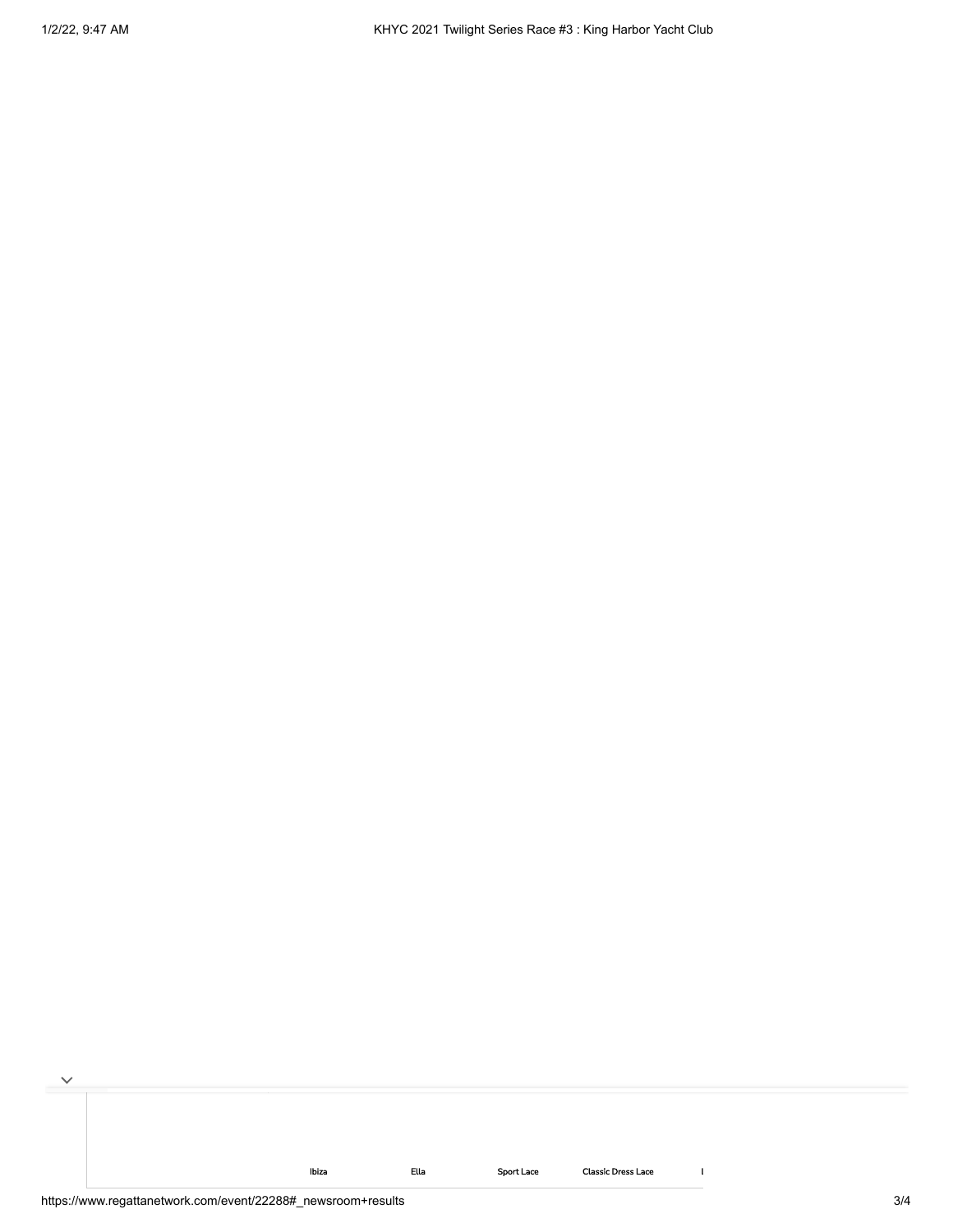[Ibiza](https://cat.da.us.criteo.com/m/delivery/ck.php?cppv=3&cpp=gmQB-SKtRr_WsxhOTPBX_NxaKjfIFjSVmP-i2SrPzDRtL6_DdmfKJt8Mmnsb4bTSn1Aa64ut4pPw1TDBPFFlopYT6RZ1iSZvrWe4ARSvvHQQyQX7dTI-FJmzwBwPAqjpMNwkJuSCe1u3-QIbDqttxuu-RZVM_fZyJVXx-jZYEMh62icTLRoVJKt0xuwPkmwOQMfBrJk3-SoKG6HcIBGw7_MEixDMeA0iycXIxk6Is0bJDu-wTIrCw0v_Dqz4R3MuyUZklUYjp4ASOHVvZgTt7QGDrRcoFTPTDj8FsTBCGj3HsqIFb8jB1f0g6dTOCFPFA3qyzvQTp8Vk5we9YrGlJqraVDJSFJVpqWVM4Sie5w1Kte03cLoLgBsPuyHbaIogWcRuszkqvbjJ5-2Dz6cdRZmx8W3lskTFXyuRXZ_MZ1oL74zal89EMzAZpiD33xHsv2OT3MSl0Bgtnrst2n68RgVkOURUjc8TcA16H0KgtE7Q-K5L&maxdest=https%3A%2F%2Fmagnanni.com%2Fibiza%3Futm_source%3Dcriteo%26utm_medium%3Ddisplay%26utm_campaign%3DWeb%2520Traffic%2520-%2520Oct%252021%252C%25202021%2520) [Ella](https://cat.da.us.criteo.com/m/delivery/ck.php?cppv=3&cpp=NrWN1CKtRr_WsxhOTPBX_NxaKjfIFjSVmP-i2SrPzDRtL6_DdmfKJt8Mmnsb4bTSn1Aa64ut4pPw1TDBPFFlopYT6RZ1iSZvrWe4ARSvvHQQyQX7dTI-FJmzwBwPAqjpMNwkJuSCe1u3-QIbDqttxuu-RZXXT3Hbwgb-jfuQBVQCIoD1kvdOpBW8bfM7eQ5xCPwhrTB2GGh3dP5qqx8SJUc4zF14SpHQeBsLf5Gu6l3ZdgmgowZIq41VRs7Ksj_YoPQdzLFyD32f95sDnjrXVnyGCIEUzt_qRqrS44k30J_dJYaTDQUuJLEurEvn5UqoFm1T3Dd-gQSJYkVAnvnzHPiAqBe9OvT7WBgwNtw1fEkV7nUcdtEHfxUKjsiYc8-WyaDo5ZSfje9W9qgHC_cJOTo1fC4EWpPBfEnhO7tVGH0Ffk_i2PJFwtOIGRTvQtFhq-3YKgTni0ZVPwUmCOuBLalo_sGe2gbd3guQTchvGwDrNikG&maxdest=https%3A%2F%2Fmagnanni.com%2Fella%3Futm_source%3Dcriteo%26utm_medium%3Ddisplay%26utm_campaign%3DWeb%2520Traffic%2520-%2520Oct%252021%252C%25202021%2520) [Sport](https://cat.da.us.criteo.com/m/delivery/ck.php?cppv=3&cpp=Z--w_SKtRr_WsxhOTPBX_NxaKjfIFjSVmP-i2SrPzDRtL6_DdmfKJt8Mmnsb4bTSn1Aa64ut4pPw1TDBPFFlopYT6RZ1iSZvrWe4ARSvvHQQyQX7dTI-FJmzwBwPAqjpMNwkJuSCe1u3-QIbDqttxuu-RZX2p4vN6g21xTkNea-xy5WIziRWIODCOlwUTiToLj8uINhDbfSIyyukfTzq-LURMCUoR_CPv-R1kAwVWwWKMFN1wE_Ooz9UcugPT2Mshj-yeaNZRsv3o3BtVrA0YGTeq_8GzKoOCrtd_3TsuQHPCHyd-ISkMjOdfLiBeTF6Lzmm_ZuJPZYW2IrPsC69XPDaT3WJ0ev1VnK_ZH-4XQlxb6JlkJsrv2ryqtdntoI9mXWOmkcf8AeXd3aPnoJw0YvbZ9mhsbhDihXPp1dy0B7SizIyJJNmKZUO9eAQXjn4vHoSGAtocqBixii2GaNgTLLqUeFTLAUxq5p9Ilp-zx98H-Ni&maxdest=https%3A%2F%2Fmagnanni.com%2Fsport-lace%3Futm_source%3Dcriteo%26utm_medium%3Ddisplay%26utm_campaign%3DWeb%2520Traffic%2520-%2520Oct%252021%252C%25202021%2520) Lace [Classic](https://cat.da.us.criteo.com/m/delivery/ck.php?cppv=3&cpp=e1sCuyKtRr_WsxhOTPBX_NxaKjfIFjSVmP-i2SrPzDRtL6_DdmfKJt8Mmnsb4bTSn1Aa64ut4pPw1TDBPFFlopYT6RZ1iSZvrWe4ARSvvHQQyQX7dTI-FJmzwBwPAqjpMNwkJuSCe1u3-QIbDqttxuu-RZXEl1yeIhpVrAomjZvxsmMAyNqwMYq0dBe6A7OncT82MIDbCVh0tDpaW0XCuydlJNmrPpnPMBDV_Px1clHn3uBG877DC1WCPiPf-Ruai3ze8ANf1ZzClF_F226DMesTQum7BqvCkyRZmUjqazyTLAqGH8jVOQFvCczoz0S2VxzMHulxsErnzMPrgTParqCZgwObjG6krywPyzx1sC_DVFlcJVXpnZyeRaYDbCHYFAq6EZmN3zU6JRCDRBzyreK_O8D7c9WFBe6aUJI0mTPLRl6aZLVFKTzwPhtHRcaC6vjFzl_p1x8d6EbkMkEY4xZRIw5zHWzOf9qkDc2m2Z3YWUR-&maxdest=https%3A%2F%2Fmagnanni.com%2Fclassic-dress-lace%3Futm_source%3Dcriteo%26utm_medium%3Ddisplay%26utm_campaign%3DWeb%2520Traffic%2520-%2520Oct%252021%252C%25202021%2520) Dress Lace [Lizandro](https://cat.da.us.criteo.com/m/delivery/ck.php?cppv=3&cpp=A9hJcSKtRr_WsxhOTPBX_NxaKjfIFjSVmP-i2SrPzDRtL6_DdmfKJt8Mmnsb4bTSn1Aa64ut4pPw1TDBPFFlopYT6RZ1iSZvrWe4ARSvvHQQyQX7dTI-FJmzwBwPAqjpMNwkJuSCe1u3-QIbDqttxuu-RZVo6_3gap1AGRtZmux6cmZtIYs6IG_mUMcO1EOP6oX42S9X2mRN37AbopY0x6mOfpOQ8UHpeMB59H-q1b4rdHhKSJ3cpKQk-RNYL5LNyOlHP3aHaI-GAEjXbCRKos9Q4O_mnK6YLor0asC7AlmtWSzKP4d0ZtG9uscgS7w1JCmURbLRlPN1OxCdQI6kay-Ne7YD7DLkGqZ3qSkXVUrXLctoeVOlpvkOZ-09dYah-uXQIhQVfDseMkEXGl4nQlLXmWPng48ANlu5n0HsR5VE-ueSWPrGPLe6E9dVMWXIgfKHKkhn67VBs-WlKExhvnn_VDWAEpzuijpSZLTYZPk6vKYC&maxdest=https%3A%2F%2Fmagnanni.com%2Flizandro%3Futm_source%3Dcriteo%26utm_medium%3Ddisplay%26utm_campaign%3DWeb%2520Traffic%2520-%2520Oct%252021%252C%25202021%2520) [Coco](https://cat.da.us.criteo.com/m/delivery/ck.php?cppv=3&cpp=LPUmtCKtRr_WsxhOTPBX_NxaKjfIFjSVmP-i2SrPzDRtL6_DdmfKJt8Mmnsb4bTSn1Aa64ut4pPw1TDBPFFlopYT6RZ1iSZvrWe4ARSvvHQQyQX7dTI-FJmzwBwPAqjpMNwkJuSCe1u3-QIbDqttxuu-RZU6pJX4nsVihAb5Ym5oMgYT0IwjsFydrwXkQsYuNYnXzl729-JAvhiM4uIDVMYaXvL6MhJuXb-QMvSukZr40UuIivBlY2pCnfSKN3F1rQCjJPDtAtE1lrvjysY-Cir_gcmKmIAe4aJ_QE8ewFe72YJuefQWJWolKbsJXjIYpvZ3hrJatpgkn0U196_Gr4T_QTAd7yRWP04d0BwJMy2ArynuFC7uEejzCvvlMPe5Ar4TfHPBy5uJYS8AvOm9-z2MTtfK6jF3xDMOn7z3EX908veoOJ6oIP5LWiTMS5VpQz7vRGzEzL4JKgJOSflTuRSIlY-qIAOjopSgqOcrSQ0NFTQd&maxdest=https%3A%2F%2Fmagnanni.com%2Fcoco%3Futm_source%3Dcriteo%26utm_medium%3Ddisplay%26utm_campaign%3DWeb%2520Traffic%2520-%2520Oct%252021%252C%25202021%2520)

 $\overline{\phantom{a}}$